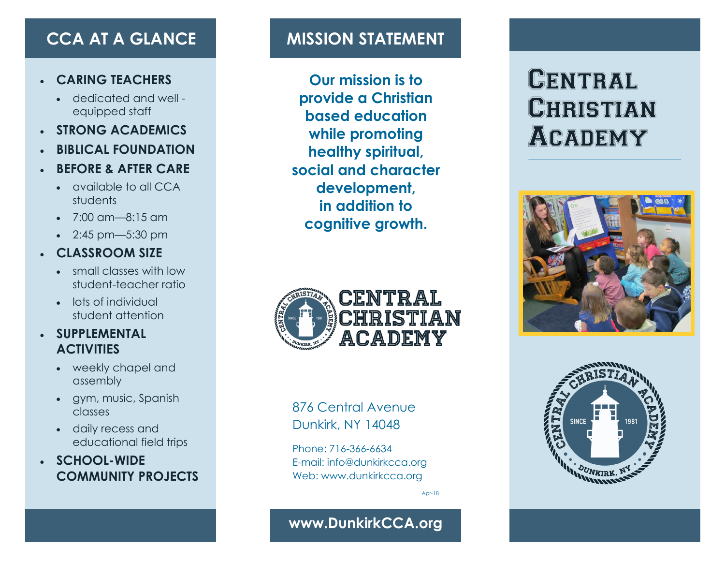### • **CARING TEACHERS**

- dedicated and well equipped staff
- **STRONG ACADEMICS**
- **BIBLICAL FOUNDATION**
- **BEFORE & AFTER CARE**
	- available to all CCA students
	- 7:00 am—8:15 am
	- 2:45 pm—5:30 pm

### • **CLASSROOM SIZE**

- small classes with low student-teacher ratio
- lots of individual student attention

### • **SUPPLEMENTAL ACTIVITIES**

- weekly chapel and assembly
- gym, music, Spanish classes
- daily recess and educational field trips
- **SCHOOL-WIDE COMMUNITY PROJECTS**

# **CCA AT A GLANCE MISSION STATEMENT**

**Our mission is to provide a Christian based education while promoting healthy spiritual, social and character development, in addition to cognitive growth.**









876 Central Avenue Dunkirk, NY 14048

Phone: 716-366-6634 E-mail: info@dunkirkcca.org Web: www.dunkirkcca.org

Apr-18

## **www.DunkirkCCA.org**